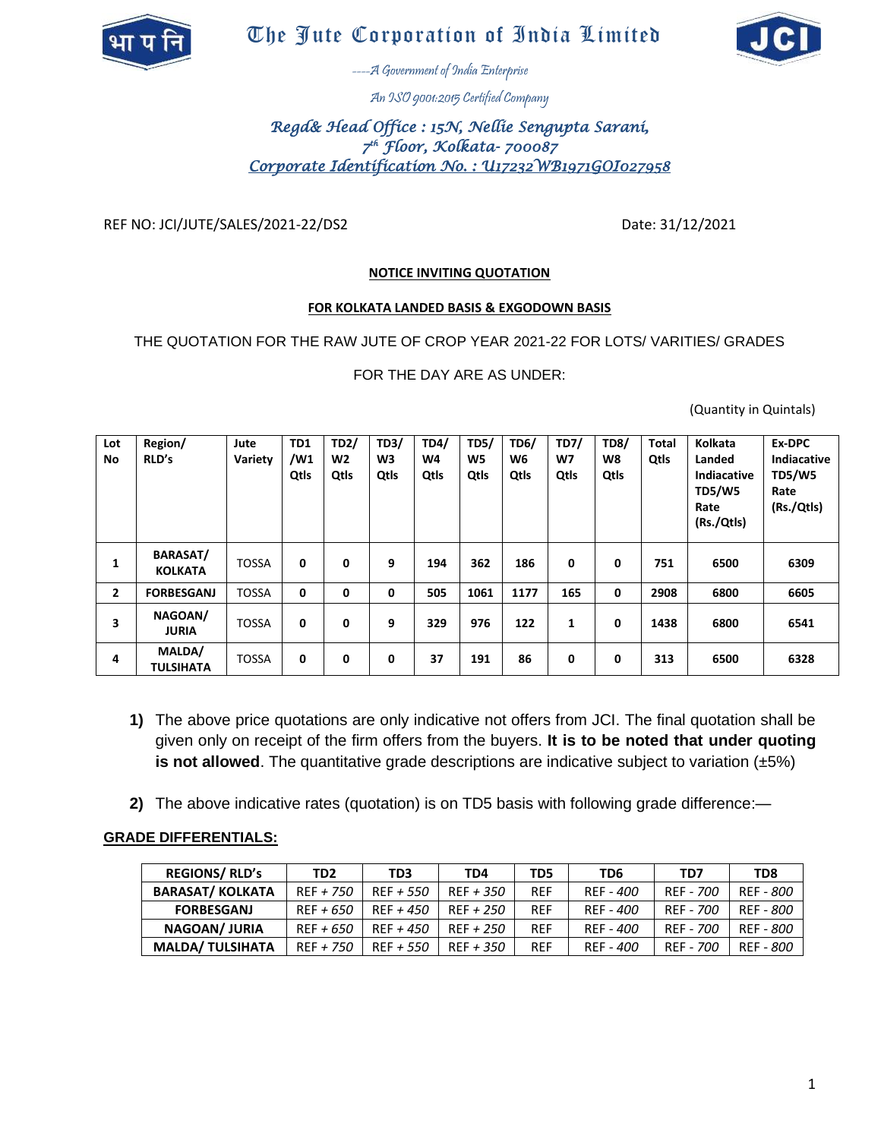

# The Jute Corporation of India Limited



----A Government of India Enterprise

An ISO 9001:2015 Certified Company

# *Regd& Head Office : 15N, Nellie Sengupta Sarani, 7 th Floor, Kolkata- 700087 Corporate Identification No. : U17232WB1971GOI027958*

REF NO: JCI/JUTE/SALES/2021-22/DS2 Date: 31/12/2021

### **NOTICE INVITING QUOTATION**

#### **FOR KOLKATA LANDED BASIS & EXGODOWN BASIS**

THE QUOTATION FOR THE RAW JUTE OF CROP YEAR 2021-22 FOR LOTS/ VARITIES/ GRADES

FOR THE DAY ARE AS UNDER:

(Quantity in Quintals)

| Lot<br>No      | Region/<br>RLD's                  | Jute<br>Variety | TD1<br>$/$ M1<br>Qtls | <b>TD2/</b><br>W2<br>Qtls | TD3/<br>W3<br>Qtls | TD4/<br>W4<br>Qtls | <b>TD5/</b><br>W5<br>Qtls | <b>TD6/</b><br>W6<br>Qtls | <b>TD7/</b><br>W7<br>Qtls | <b>TD8/</b><br>W8<br>Qtls | <b>Total</b><br>Qtls | Kolkata<br>Landed<br>Indiacative<br><b>TD5/W5</b><br>Rate<br>(Rs./Qtls) | Ex-DPC<br>Indiacative<br><b>TD5/W5</b><br>Rate<br>(Rs./Qtls) |
|----------------|-----------------------------------|-----------------|-----------------------|---------------------------|--------------------|--------------------|---------------------------|---------------------------|---------------------------|---------------------------|----------------------|-------------------------------------------------------------------------|--------------------------------------------------------------|
| 1              | <b>BARASAT/</b><br><b>KOLKATA</b> | <b>TOSSA</b>    | 0                     | 0                         | 9                  | 194                | 362                       | 186                       | 0                         | 0                         | 751                  | 6500                                                                    | 6309                                                         |
| $\overline{2}$ | <b>FORBESGANJ</b>                 | <b>TOSSA</b>    | 0                     | 0                         | 0                  | 505                | 1061                      | 1177                      | 165                       | $\mathbf 0$               | 2908                 | 6800                                                                    | 6605                                                         |
| 3              | NAGOAN/<br><b>JURIA</b>           | <b>TOSSA</b>    | 0                     | 0                         | 9                  | 329                | 976                       | 122                       | 1                         | 0                         | 1438                 | 6800                                                                    | 6541                                                         |
| 4              | MALDA/<br><b>TULSIHATA</b>        | <b>TOSSA</b>    | 0                     | 0                         | 0                  | 37                 | 191                       | 86                        | 0                         | 0                         | 313                  | 6500                                                                    | 6328                                                         |

- **1)** The above price quotations are only indicative not offers from JCI. The final quotation shall be given only on receipt of the firm offers from the buyers. **It is to be noted that under quoting is not allowed**. The quantitative grade descriptions are indicative subject to variation (±5%)
- **2)** The above indicative rates (quotation) is on TD5 basis with following grade difference:—

### **GRADE DIFFERENTIALS:**

| <b>REGIONS/ RLD's</b>   | TD <sub>2</sub> | TD <sub>3</sub> | TD4         | TD5        | TD <sub>6</sub> | TD7       | TD8       |
|-------------------------|-----------------|-----------------|-------------|------------|-----------------|-----------|-----------|
| <b>BARASAT/ KOLKATA</b> | $REF + 750$     | $REF + 550$     | $REF + 350$ | <b>REF</b> | REF - 400       | REF - 700 | REF - 800 |
| <b>FORBESGANJ</b>       | $REF + 650$     | $RFF + 450$     | $REF + 250$ | <b>REF</b> | REF - 400       | REF - 700 | REF - 800 |
| <b>NAGOAN/JURIA</b>     | $REF + 650$     | $RFF + 450$     | $REF + 250$ | <b>REF</b> | REF - 400       | REF - 700 | REF - 800 |
| <b>MALDA/ TULSIHATA</b> | $REF + 750$     | $RFF + 550$     | $REF + 350$ | <b>REF</b> | REF - 400       | REF - 700 | REF - 800 |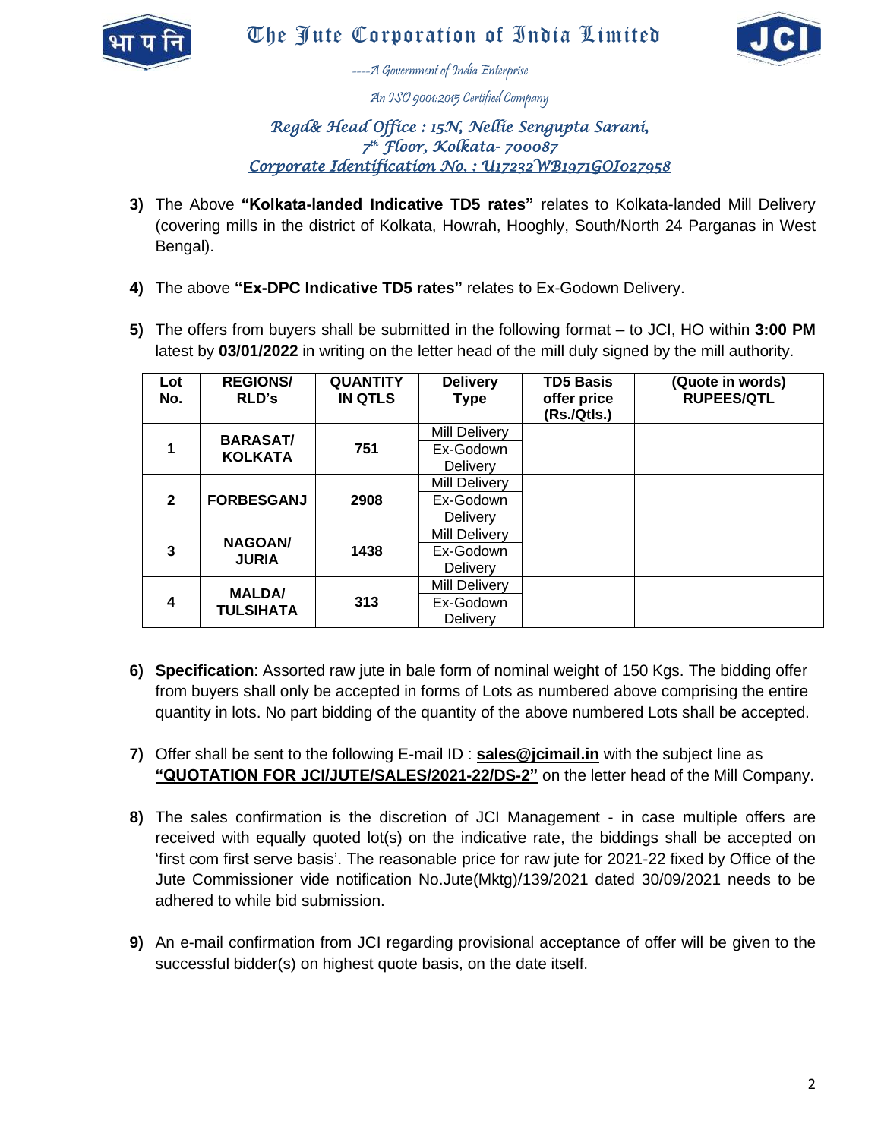



----A Government of India Enterprise

An ISO 9001:2015 Certified Company

# *Regd& Head Office : 15N, Nellie Sengupta Sarani, 7 th Floor, Kolkata- 700087 Corporate Identification No. : U17232WB1971GOI027958*

- **3)** The Above **"Kolkata-landed Indicative TD5 rates"** relates to Kolkata-landed Mill Delivery (covering mills in the district of Kolkata, Howrah, Hooghly, South/North 24 Parganas in West Bengal).
- **4)** The above **"Ex-DPC Indicative TD5 rates"** relates to Ex-Godown Delivery.
- **5)** The offers from buyers shall be submitted in the following format to JCI, HO within **3:00 PM** latest by **03/01/2022** in writing on the letter head of the mill duly signed by the mill authority.

| Lot<br>No.     | <b>REGIONS/</b><br><b>RLD's</b>   | <b>QUANTITY</b><br><b>IN QTLS</b> | <b>Delivery</b><br><b>Type</b>                       | <b>TD5 Basis</b><br>offer price<br>(Rs./Qtls.) | (Quote in words)<br><b>RUPEES/QTL</b> |
|----------------|-----------------------------------|-----------------------------------|------------------------------------------------------|------------------------------------------------|---------------------------------------|
|                | <b>BARASAT/</b><br><b>KOLKATA</b> | 751                               | <b>Mill Delivery</b><br>Ex-Godown<br>Delivery        |                                                |                                       |
| $\overline{2}$ | <b>FORBESGANJ</b>                 | 2908                              | <b>Mill Delivery</b><br>Ex-Godown<br><b>Delivery</b> |                                                |                                       |
| 3              | <b>NAGOAN/</b><br><b>JURIA</b>    | 1438                              | <b>Mill Delivery</b><br>Ex-Godown<br><b>Delivery</b> |                                                |                                       |
| 4              | <b>MALDA</b><br><b>TULSIHATA</b>  | 313                               | <b>Mill Delivery</b><br>Ex-Godown<br>Delivery        |                                                |                                       |

- **6) Specification**: Assorted raw jute in bale form of nominal weight of 150 Kgs. The bidding offer from buyers shall only be accepted in forms of Lots as numbered above comprising the entire quantity in lots. No part bidding of the quantity of the above numbered Lots shall be accepted.
- **7)** Offer shall be sent to the following E-mail ID : **sales@jcimail.in** with the subject line as **"QUOTATION FOR JCI/JUTE/SALES/2021-22/DS-2"** on the letter head of the Mill Company.
- **8)** The sales confirmation is the discretion of JCI Management in case multiple offers are received with equally quoted lot(s) on the indicative rate, the biddings shall be accepted on 'first com first serve basis'. The reasonable price for raw jute for 2021-22 fixed by Office of the Jute Commissioner vide notification No.Jute(Mktg)/139/2021 dated 30/09/2021 needs to be adhered to while bid submission.
- **9)** An e-mail confirmation from JCI regarding provisional acceptance of offer will be given to the successful bidder(s) on highest quote basis, on the date itself.